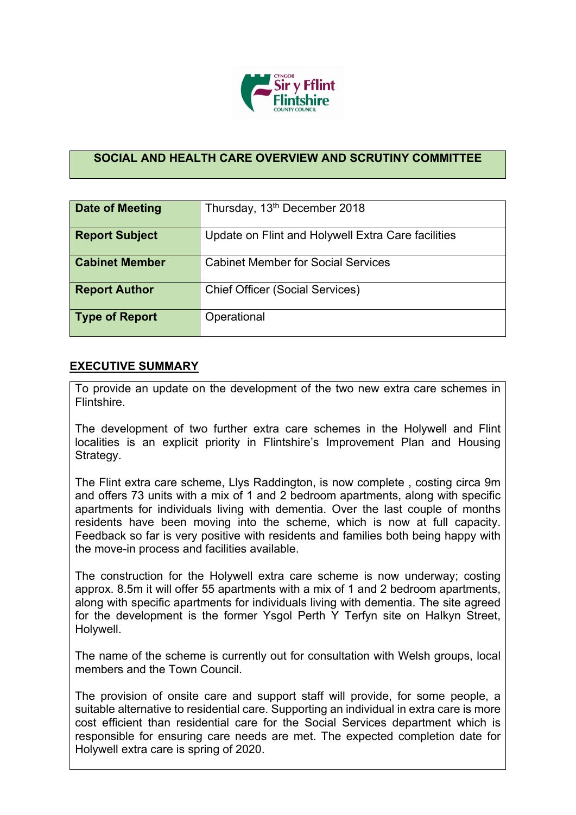

## **SOCIAL AND HEALTH CARE OVERVIEW AND SCRUTINY COMMITTEE**

| Date of Meeting       | Thursday, 13 <sup>th</sup> December 2018           |
|-----------------------|----------------------------------------------------|
| <b>Report Subject</b> | Update on Flint and Holywell Extra Care facilities |
| <b>Cabinet Member</b> | <b>Cabinet Member for Social Services</b>          |
| <b>Report Author</b>  | <b>Chief Officer (Social Services)</b>             |
| Type of Report        | Operational                                        |

## **EXECUTIVE SUMMARY**

To provide an update on the development of the two new extra care schemes in Flintshire.

The development of two further extra care schemes in the Holywell and Flint localities is an explicit priority in Flintshire's Improvement Plan and Housing Strategy.

The Flint extra care scheme, Llys Raddington, is now complete , costing circa 9m and offers 73 units with a mix of 1 and 2 bedroom apartments, along with specific apartments for individuals living with dementia. Over the last couple of months residents have been moving into the scheme, which is now at full capacity. Feedback so far is very positive with residents and families both being happy with the move-in process and facilities available.

The construction for the Holywell extra care scheme is now underway; costing approx. 8.5m it will offer 55 apartments with a mix of 1 and 2 bedroom apartments, along with specific apartments for individuals living with dementia. The site agreed for the development is the former Ysgol Perth Y Terfyn site on Halkyn Street, Holywell.

The name of the scheme is currently out for consultation with Welsh groups, local members and the Town Council.

The provision of onsite care and support staff will provide, for some people, a suitable alternative to residential care. Supporting an individual in extra care is more cost efficient than residential care for the Social Services department which is responsible for ensuring care needs are met. The expected completion date for Holywell extra care is spring of 2020.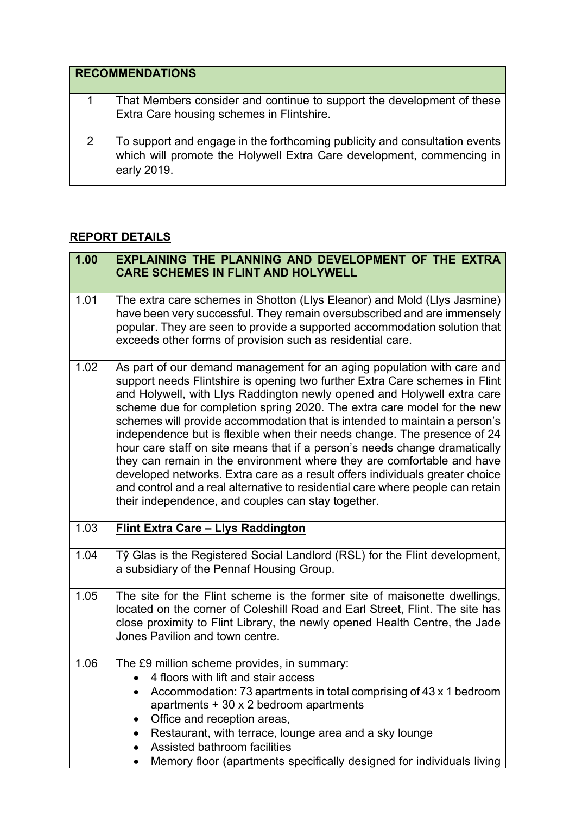| <b>RECOMMENDATIONS</b>                                                                                                                                             |
|--------------------------------------------------------------------------------------------------------------------------------------------------------------------|
| That Members consider and continue to support the development of these<br>Extra Care housing schemes in Flintshire.                                                |
| To support and engage in the forthcoming publicity and consultation events<br>which will promote the Holywell Extra Care development, commencing in<br>early 2019. |

## **REPORT DETAILS**

| 1.00 | EXPLAINING THE PLANNING AND DEVELOPMENT OF THE EXTRA<br><b>CARE SCHEMES IN FLINT AND HOLYWELL</b>                                                                                                                                                                                                                                                                                                                                                                                                                                                                                                                                                                                                                                                                                                                                                     |
|------|-------------------------------------------------------------------------------------------------------------------------------------------------------------------------------------------------------------------------------------------------------------------------------------------------------------------------------------------------------------------------------------------------------------------------------------------------------------------------------------------------------------------------------------------------------------------------------------------------------------------------------------------------------------------------------------------------------------------------------------------------------------------------------------------------------------------------------------------------------|
| 1.01 | The extra care schemes in Shotton (Llys Eleanor) and Mold (Llys Jasmine)<br>have been very successful. They remain oversubscribed and are immensely<br>popular. They are seen to provide a supported accommodation solution that<br>exceeds other forms of provision such as residential care.                                                                                                                                                                                                                                                                                                                                                                                                                                                                                                                                                        |
| 1.02 | As part of our demand management for an aging population with care and<br>support needs Flintshire is opening two further Extra Care schemes in Flint<br>and Holywell, with Llys Raddington newly opened and Holywell extra care<br>scheme due for completion spring 2020. The extra care model for the new<br>schemes will provide accommodation that is intended to maintain a person's<br>independence but is flexible when their needs change. The presence of 24<br>hour care staff on site means that if a person's needs change dramatically<br>they can remain in the environment where they are comfortable and have<br>developed networks. Extra care as a result offers individuals greater choice<br>and control and a real alternative to residential care where people can retain<br>their independence, and couples can stay together. |
| 1.03 | <b>Flint Extra Care - Llys Raddington</b>                                                                                                                                                                                                                                                                                                                                                                                                                                                                                                                                                                                                                                                                                                                                                                                                             |
| 1.04 | Tŷ Glas is the Registered Social Landlord (RSL) for the Flint development,<br>a subsidiary of the Pennaf Housing Group.                                                                                                                                                                                                                                                                                                                                                                                                                                                                                                                                                                                                                                                                                                                               |
| 1.05 | The site for the Flint scheme is the former site of maisonette dwellings,<br>located on the corner of Coleshill Road and Earl Street, Flint. The site has<br>close proximity to Flint Library, the newly opened Health Centre, the Jade<br>Jones Pavilion and town centre.                                                                                                                                                                                                                                                                                                                                                                                                                                                                                                                                                                            |
| 1.06 | The £9 million scheme provides, in summary:<br>4 floors with lift and stair access<br>Accommodation: 73 apartments in total comprising of 43 x 1 bedroom<br>apartments $+30 \times 2$ bedroom apartments<br>Office and reception areas,<br>٠<br>Restaurant, with terrace, lounge area and a sky lounge<br>$\bullet$<br>Assisted bathroom facilities<br>Memory floor (apartments specifically designed for individuals living                                                                                                                                                                                                                                                                                                                                                                                                                          |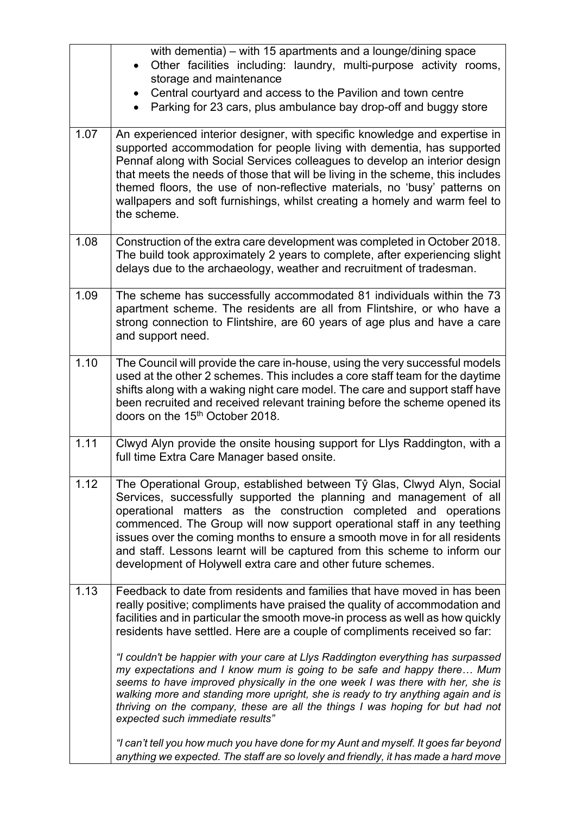|      | with dementia) – with 15 apartments and a lounge/dining space<br>Other facilities including: laundry, multi-purpose activity rooms,<br>storage and maintenance<br>Central courtyard and access to the Pavilion and town centre<br>Parking for 23 cars, plus ambulance bay drop-off and buggy store                                                                                                                                                                                                                      |
|------|-------------------------------------------------------------------------------------------------------------------------------------------------------------------------------------------------------------------------------------------------------------------------------------------------------------------------------------------------------------------------------------------------------------------------------------------------------------------------------------------------------------------------|
| 1.07 | An experienced interior designer, with specific knowledge and expertise in<br>supported accommodation for people living with dementia, has supported<br>Pennaf along with Social Services colleagues to develop an interior design<br>that meets the needs of those that will be living in the scheme, this includes<br>themed floors, the use of non-reflective materials, no 'busy' patterns on<br>wallpapers and soft furnishings, whilst creating a homely and warm feel to<br>the scheme.                          |
| 1.08 | Construction of the extra care development was completed in October 2018.<br>The build took approximately 2 years to complete, after experiencing slight<br>delays due to the archaeology, weather and recruitment of tradesman.                                                                                                                                                                                                                                                                                        |
| 1.09 | The scheme has successfully accommodated 81 individuals within the 73<br>apartment scheme. The residents are all from Flintshire, or who have a<br>strong connection to Flintshire, are 60 years of age plus and have a care<br>and support need.                                                                                                                                                                                                                                                                       |
| 1.10 | The Council will provide the care in-house, using the very successful models<br>used at the other 2 schemes. This includes a core staff team for the daytime<br>shifts along with a waking night care model. The care and support staff have<br>been recruited and received relevant training before the scheme opened its<br>doors on the 15 <sup>th</sup> October 2018.                                                                                                                                               |
| 1.11 | Clwyd Alyn provide the onsite housing support for Llys Raddington, with a<br>full time Extra Care Manager based onsite.                                                                                                                                                                                                                                                                                                                                                                                                 |
| 1.12 | The Operational Group, established between Tŷ Glas, Clwyd Alyn, Social<br>Services, successfully supported the planning and management of all<br>operational matters as the construction completed and operations<br>commenced. The Group will now support operational staff in any teething<br>issues over the coming months to ensure a smooth move in for all residents<br>and staff. Lessons learnt will be captured from this scheme to inform our<br>development of Holywell extra care and other future schemes. |
| 1.13 | Feedback to date from residents and families that have moved in has been<br>really positive; compliments have praised the quality of accommodation and<br>facilities and in particular the smooth move-in process as well as how quickly<br>residents have settled. Here are a couple of compliments received so far:                                                                                                                                                                                                   |
|      | "I couldn't be happier with your care at Llys Raddington everything has surpassed<br>my expectations and I know mum is going to be safe and happy there Mum<br>seems to have improved physically in the one week I was there with her, she is<br>walking more and standing more upright, she is ready to try anything again and is<br>thriving on the company, these are all the things I was hoping for but had not<br>expected such immediate results"                                                                |
|      | "I can't tell you how much you have done for my Aunt and myself. It goes far beyond<br>anything we expected. The staff are so lovely and friendly, it has made a hard move                                                                                                                                                                                                                                                                                                                                              |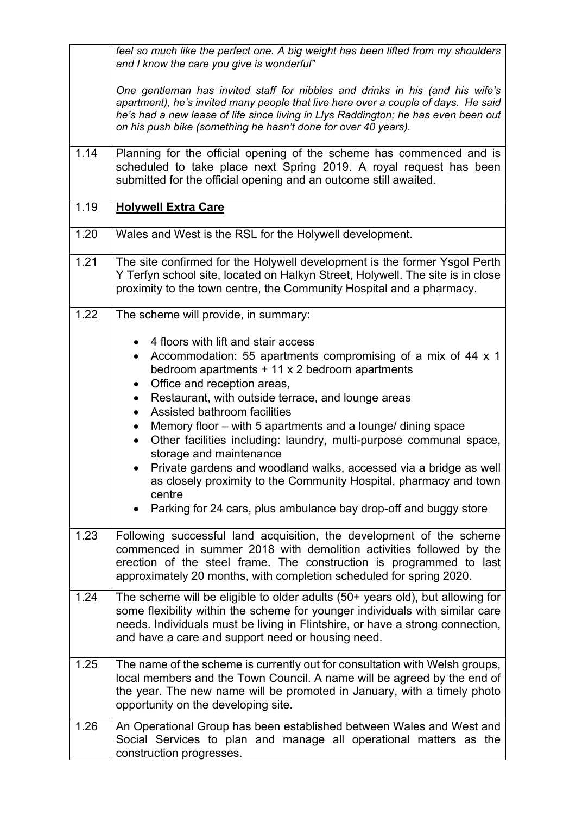|      | feel so much like the perfect one. A big weight has been lifted from my shoulders<br>and I know the care you give is wonderful"                                                                                                                                                                                             |
|------|-----------------------------------------------------------------------------------------------------------------------------------------------------------------------------------------------------------------------------------------------------------------------------------------------------------------------------|
|      | One gentleman has invited staff for nibbles and drinks in his (and his wife's<br>apartment), he's invited many people that live here over a couple of days. He said<br>he's had a new lease of life since living in Llys Raddington; he has even been out<br>on his push bike (something he hasn't done for over 40 years). |
| 1.14 | Planning for the official opening of the scheme has commenced and is<br>scheduled to take place next Spring 2019. A royal request has been<br>submitted for the official opening and an outcome still awaited.                                                                                                              |
| 1.19 | <b>Holywell Extra Care</b>                                                                                                                                                                                                                                                                                                  |
| 1.20 | Wales and West is the RSL for the Holywell development.                                                                                                                                                                                                                                                                     |
| 1.21 | The site confirmed for the Holywell development is the former Ysgol Perth<br>Y Terfyn school site, located on Halkyn Street, Holywell. The site is in close<br>proximity to the town centre, the Community Hospital and a pharmacy.                                                                                         |
| 1.22 | The scheme will provide, in summary:                                                                                                                                                                                                                                                                                        |
|      | 4 floors with lift and stair access<br>$\bullet$<br>Accommodation: 55 apartments compromising of a mix of 44 x 1<br>$\bullet$<br>bedroom apartments $+11 \times 2$ bedroom apartments<br>Office and reception areas,<br>$\bullet$<br>Restaurant, with outside terrace, and lounge areas                                     |
|      | Assisted bathroom facilities<br>Memory floor – with 5 apartments and a lounge/ dining space<br>$\bullet$<br>Other facilities including: laundry, multi-purpose communal space,<br>storage and maintenance<br>Private gardens and woodland walks, accessed via a bridge as well                                              |
|      | as closely proximity to the Community Hospital, pharmacy and town<br>centre<br>Parking for 24 cars, plus ambulance bay drop-off and buggy store                                                                                                                                                                             |
| 1.23 | Following successful land acquisition, the development of the scheme<br>commenced in summer 2018 with demolition activities followed by the<br>erection of the steel frame. The construction is programmed to last<br>approximately 20 months, with completion scheduled for spring 2020.                                   |
| 1.24 | The scheme will be eligible to older adults (50+ years old), but allowing for<br>some flexibility within the scheme for younger individuals with similar care<br>needs. Individuals must be living in Flintshire, or have a strong connection,<br>and have a care and support need or housing need.                         |
| 1.25 | The name of the scheme is currently out for consultation with Welsh groups,<br>local members and the Town Council. A name will be agreed by the end of<br>the year. The new name will be promoted in January, with a timely photo<br>opportunity on the developing site.                                                    |
| 1.26 | An Operational Group has been established between Wales and West and<br>Social Services to plan and manage all operational matters as the<br>construction progresses.                                                                                                                                                       |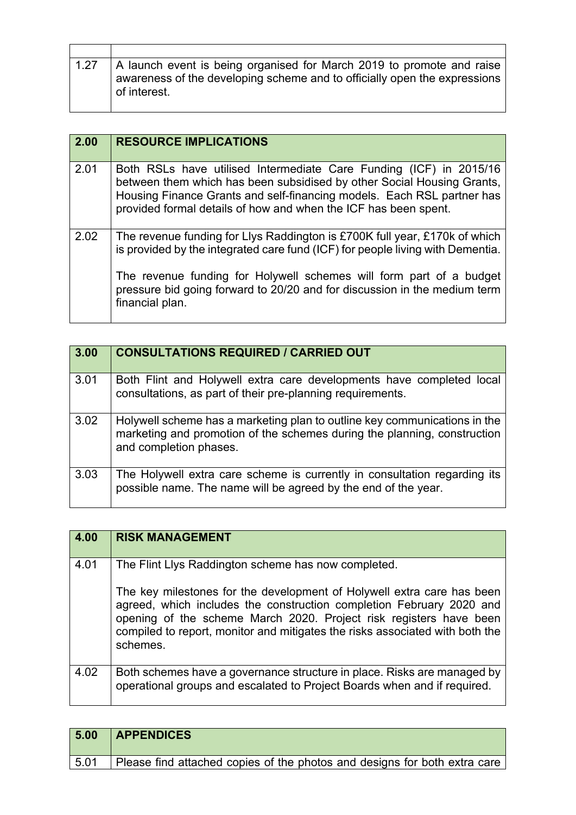| 1.27 | A launch event is being organised for March 2019 to promote and raise<br>awareness of the developing scheme and to officially open the expressions<br>of interest. |
|------|--------------------------------------------------------------------------------------------------------------------------------------------------------------------|

 $\mathsf{l}$ 

| 2.00 | <b>RESOURCE IMPLICATIONS</b>                                                                                                                                                                                                                                                              |
|------|-------------------------------------------------------------------------------------------------------------------------------------------------------------------------------------------------------------------------------------------------------------------------------------------|
| 2.01 | Both RSLs have utilised Intermediate Care Funding (ICF) in 2015/16<br>between them which has been subsidised by other Social Housing Grants,<br>Housing Finance Grants and self-financing models. Each RSL partner has<br>provided formal details of how and when the ICF has been spent. |
| 2.02 | The revenue funding for Llys Raddington is £700K full year, £170k of which<br>is provided by the integrated care fund (ICF) for people living with Dementia.                                                                                                                              |
|      | The revenue funding for Holywell schemes will form part of a budget<br>pressure bid going forward to 20/20 and for discussion in the medium term<br>financial plan.                                                                                                                       |

| 3.00 | <b>CONSULTATIONS REQUIRED / CARRIED OUT</b>                                                                                                                                     |
|------|---------------------------------------------------------------------------------------------------------------------------------------------------------------------------------|
| 3.01 | Both Flint and Holywell extra care developments have completed local<br>consultations, as part of their pre-planning requirements.                                              |
| 3.02 | Holywell scheme has a marketing plan to outline key communications in the<br>marketing and promotion of the schemes during the planning, construction<br>and completion phases. |
| 3.03 | The Holywell extra care scheme is currently in consultation regarding its<br>possible name. The name will be agreed by the end of the year.                                     |

| 4.00 | <b>RISK MANAGEMENT</b>                                                                                                                                                                                                                                                                                           |
|------|------------------------------------------------------------------------------------------------------------------------------------------------------------------------------------------------------------------------------------------------------------------------------------------------------------------|
| 4.01 | The Flint Llys Raddington scheme has now completed.                                                                                                                                                                                                                                                              |
|      | The key milestones for the development of Holywell extra care has been<br>agreed, which includes the construction completion February 2020 and<br>opening of the scheme March 2020. Project risk registers have been<br>compiled to report, monitor and mitigates the risks associated with both the<br>schemes. |
| 4.02 | Both schemes have a governance structure in place. Risks are managed by<br>operational groups and escalated to Project Boards when and if required.                                                                                                                                                              |

| 5.00 | <b>APPENDICES</b>                                                             |
|------|-------------------------------------------------------------------------------|
| 5.01 | Please find attached copies of the photos and designs for both extra care but |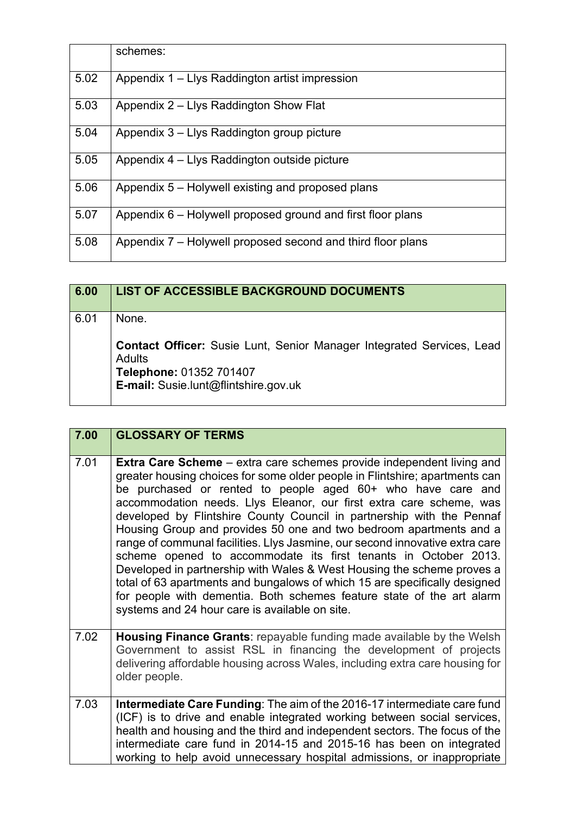|      | schemes:                                                    |
|------|-------------------------------------------------------------|
| 5.02 | Appendix 1 – Llys Raddington artist impression              |
| 5.03 | Appendix 2 – Llys Raddington Show Flat                      |
| 5.04 | Appendix 3 – Llys Raddington group picture                  |
| 5.05 | Appendix 4 – Llys Raddington outside picture                |
| 5.06 | Appendix 5 – Holywell existing and proposed plans           |
| 5.07 | Appendix 6 – Holywell proposed ground and first floor plans |
| 5.08 | Appendix 7 – Holywell proposed second and third floor plans |

| 6.00 | <b>LIST OF ACCESSIBLE BACKGROUND DOCUMENTS</b>                                                |
|------|-----------------------------------------------------------------------------------------------|
| 6.01 | None.                                                                                         |
|      | <b>Contact Officer:</b> Susie Lunt, Senior Manager Integrated Services, Lead<br><b>Adults</b> |
|      | Telephone: 01352 701407<br>E-mail: Susie.lunt@flintshire.gov.uk                               |

| 7.00 | <b>GLOSSARY OF TERMS</b>                                                                                                                                                                                                                                                                                                                                                                                                                                                                                                                                                                                                                                                                                                                                                                                                                                                        |
|------|---------------------------------------------------------------------------------------------------------------------------------------------------------------------------------------------------------------------------------------------------------------------------------------------------------------------------------------------------------------------------------------------------------------------------------------------------------------------------------------------------------------------------------------------------------------------------------------------------------------------------------------------------------------------------------------------------------------------------------------------------------------------------------------------------------------------------------------------------------------------------------|
| 7.01 | Extra Care Scheme - extra care schemes provide independent living and<br>greater housing choices for some older people in Flintshire; apartments can<br>be purchased or rented to people aged 60+ who have care and<br>accommodation needs. Llys Eleanor, our first extra care scheme, was<br>developed by Flintshire County Council in partnership with the Pennaf<br>Housing Group and provides 50 one and two bedroom apartments and a<br>range of communal facilities. Llys Jasmine, our second innovative extra care<br>scheme opened to accommodate its first tenants in October 2013.<br>Developed in partnership with Wales & West Housing the scheme proves a<br>total of 63 apartments and bungalows of which 15 are specifically designed<br>for people with dementia. Both schemes feature state of the art alarm<br>systems and 24 hour care is available on site. |
| 7.02 | Housing Finance Grants: repayable funding made available by the Welsh<br>Government to assist RSL in financing the development of projects<br>delivering affordable housing across Wales, including extra care housing for<br>older people.                                                                                                                                                                                                                                                                                                                                                                                                                                                                                                                                                                                                                                     |
| 7.03 | Intermediate Care Funding: The aim of the 2016-17 intermediate care fund<br>(ICF) is to drive and enable integrated working between social services,<br>health and housing and the third and independent sectors. The focus of the<br>intermediate care fund in 2014-15 and 2015-16 has been on integrated<br>working to help avoid unnecessary hospital admissions, or inappropriate                                                                                                                                                                                                                                                                                                                                                                                                                                                                                           |